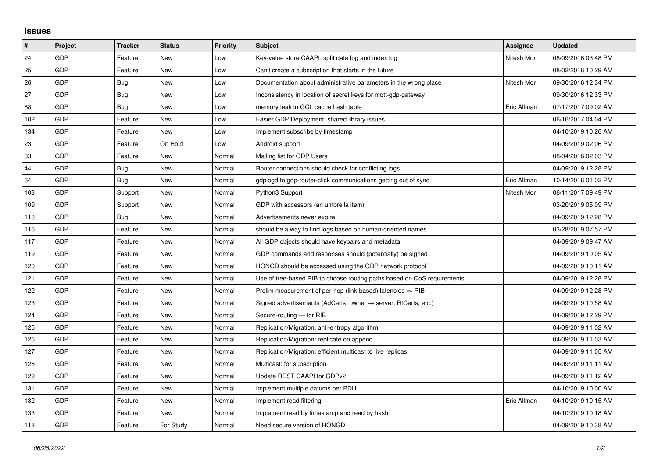## **Issues**

| #   | Project | <b>Tracker</b> | <b>Status</b> | <b>Priority</b> | <b>Subject</b>                                                             | Assignee    | <b>Updated</b>      |
|-----|---------|----------------|---------------|-----------------|----------------------------------------------------------------------------|-------------|---------------------|
| 24  | GDP     | Feature        | <b>New</b>    | Low             | Key-value store CAAPI: split data log and index log                        | Nitesh Mor  | 08/09/2016 03:48 PM |
| 25  | GDP     | Feature        | <b>New</b>    | Low             | Can't create a subscription that starts in the future                      |             | 08/02/2016 10:29 AM |
| 26  | GDP     | Bug            | New           | Low             | Documentation about administrative parameters in the wrong place           | Nitesh Mor  | 09/30/2016 12:34 PM |
| 27  | GDP     | <b>Bug</b>     | <b>New</b>    | Low             | Inconsistency in location of secret keys for mgtt-gdp-gateway              |             | 09/30/2016 12:33 PM |
| 88  | GDP     | <b>Bug</b>     | <b>New</b>    | Low             | memory leak in GCL cache hash table                                        | Eric Allman | 07/17/2017 09:02 AM |
| 102 | GDP     | Feature        | New           | Low             | Easier GDP Deployment: shared library issues                               |             | 06/16/2017 04:04 PM |
| 134 | GDP     | Feature        | <b>New</b>    | Low             | Implement subscribe by timestamp                                           |             | 04/10/2019 10:26 AM |
| 23  | GDP     | Feature        | On Hold       | Low             | Android support                                                            |             | 04/09/2019 02:06 PM |
| 33  | GDP     | Feature        | New           | Normal          | Mailing list for GDP Users                                                 |             | 08/04/2016 02:03 PM |
| 44  | GDP     | Bug            | <b>New</b>    | Normal          | Router connections should check for conflicting logs                       |             | 04/09/2019 12:28 PM |
| 64  | GDP     | <b>Bug</b>     | <b>New</b>    | Normal          | gdplogd to gdp-router-click communications getting out of sync             | Eric Allman | 10/14/2016 01:02 PM |
| 103 | GDP     | Support        | <b>New</b>    | Normal          | Python3 Support                                                            | Nitesh Mor  | 06/11/2017 09:49 PM |
| 109 | GDP     | Support        | <b>New</b>    | Normal          | GDP with accessors (an umbrella item)                                      |             | 03/20/2019 05:09 PM |
| 113 | GDP     | Bug            | <b>New</b>    | Normal          | Advertisements never expire                                                |             | 04/09/2019 12:28 PM |
| 116 | GDP     | Feature        | <b>New</b>    | Normal          | should be a way to find logs based on human-oriented names                 |             | 03/28/2019 07:57 PM |
| 117 | GDP     | Feature        | <b>New</b>    | Normal          | All GDP objects should have keypairs and metadata                          |             | 04/09/2019 09:47 AM |
| 119 | GDP     | Feature        | <b>New</b>    | Normal          | GDP commands and responses should (potentially) be signed                  |             | 04/09/2019 10:05 AM |
| 120 | GDP     | Feature        | New           | Normal          | HONGD should be accessed using the GDP network protocol                    |             | 04/09/2019 10:11 AM |
| 121 | GDP     | Feature        | <b>New</b>    | Normal          | Use of tree-based RIB to choose routing paths based on QoS requirements    |             | 04/09/2019 12:28 PM |
| 122 | GDP     | Feature        | <b>New</b>    | Normal          | Prelim measurement of per-hop (link-based) latencies $\Rightarrow$ RIB     |             | 04/09/2019 12:28 PM |
| 123 | GDP     | Feature        | <b>New</b>    | Normal          | Signed advertisements (AdCerts: owner $\rightarrow$ server, RtCerts, etc.) |             | 04/09/2019 10:58 AM |
| 124 | GDP     | Feature        | <b>New</b>    | Normal          | Secure-routing - for RIB                                                   |             | 04/09/2019 12:29 PM |
| 125 | GDP     | Feature        | <b>New</b>    | Normal          | Replication/Migration: anti-entropy algorithm                              |             | 04/09/2019 11:02 AM |
| 126 | GDP     | Feature        | <b>New</b>    | Normal          | Replication/Migration: replicate on append                                 |             | 04/09/2019 11:03 AM |
| 127 | GDP     | Feature        | <b>New</b>    | Normal          | Replication/Migration: efficient multicast to live replicas                |             | 04/09/2019 11:05 AM |
| 128 | GDP     | Feature        | New           | Normal          | Multicast: for subscription                                                |             | 04/09/2019 11:11 AM |
| 129 | GDP     | Feature        | <b>New</b>    | Normal          | Update REST CAAPI for GDPv2                                                |             | 04/09/2019 11:12 AM |
| 131 | GDP     | Feature        | New           | Normal          | Implement multiple datums per PDU                                          |             | 04/10/2019 10:00 AM |
| 132 | GDP     | Feature        | New           | Normal          | Implement read filtering                                                   | Eric Allman | 04/10/2019 10:15 AM |
| 133 | GDP     | Feature        | <b>New</b>    | Normal          | Implement read by timestamp and read by hash                               |             | 04/10/2019 10:18 AM |
| 118 | GDP     | Feature        | For Study     | Normal          | Need secure version of HONGD                                               |             | 04/09/2019 10:38 AM |